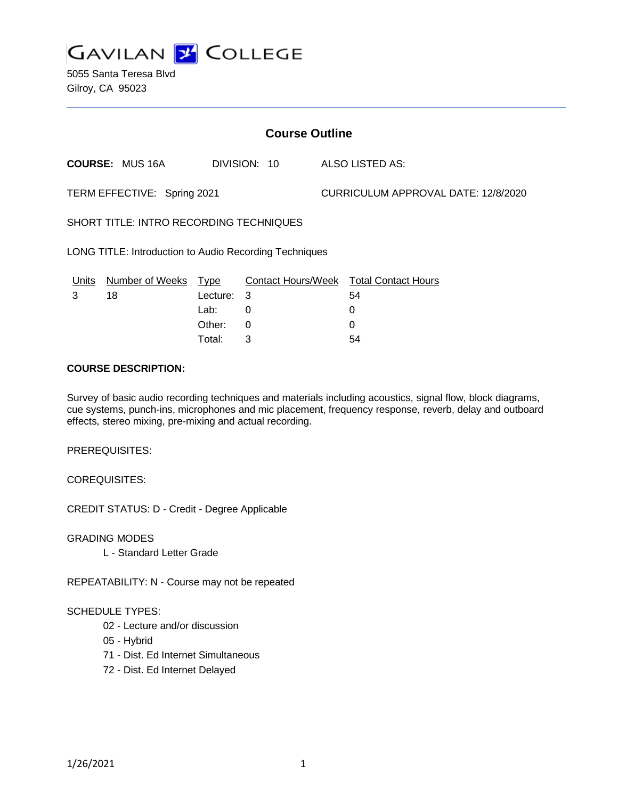

5055 Santa Teresa Blvd Gilroy, CA 95023

| <b>Course Outline</b>                                  |                        |             |          |              |                                        |
|--------------------------------------------------------|------------------------|-------------|----------|--------------|----------------------------------------|
|                                                        | <b>COURSE: MUS 16A</b> |             |          | DIVISION: 10 | ALSO LISTED AS:                        |
| TERM EFFECTIVE: Spring 2021                            |                        |             |          |              | CURRICULUM APPROVAL DATE: 12/8/2020    |
| SHORT TITLE: INTRO RECORDING TECHNIQUES                |                        |             |          |              |                                        |
| LONG TITLE: Introduction to Audio Recording Techniques |                        |             |          |              |                                        |
| Units                                                  | <b>Number of Weeks</b> | <u>Type</u> |          |              | Contact Hours/Week Total Contact Hours |
| 3                                                      | 18                     | Lecture: 3  |          |              | 54                                     |
|                                                        |                        | Lab:        | 0        |              | 0                                      |
|                                                        |                        | Other:      | $\Omega$ |              | 0                                      |
|                                                        |                        | Total:      | 3        |              | 54                                     |

### **COURSE DESCRIPTION:**

Survey of basic audio recording techniques and materials including acoustics, signal flow, block diagrams, cue systems, punch-ins, microphones and mic placement, frequency response, reverb, delay and outboard effects, stereo mixing, pre-mixing and actual recording.

PREREQUISITES:

COREQUISITES:

CREDIT STATUS: D - Credit - Degree Applicable

GRADING MODES

L - Standard Letter Grade

REPEATABILITY: N - Course may not be repeated

#### SCHEDULE TYPES:

- 02 Lecture and/or discussion
- 05 Hybrid
- 71 Dist. Ed Internet Simultaneous
- 72 Dist. Ed Internet Delayed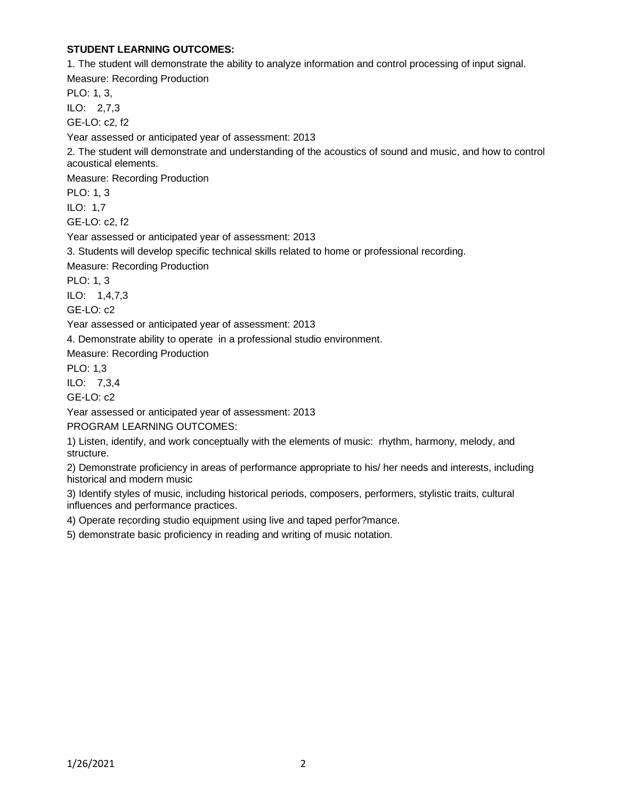# **STUDENT LEARNING OUTCOMES:**

1. The student will demonstrate the ability to analyze information and control processing of input signal.

Measure: Recording Production

PLO: 1, 3,

ILO: 2,7,3

GE-LO: c2, f2

Year assessed or anticipated year of assessment: 2013

2. The student will demonstrate and understanding of the acoustics of sound and music, and how to control acoustical elements.

Measure: Recording Production

PLO: 1, 3

ILO: 1,7

GE-LO: c2, f2

Year assessed or anticipated year of assessment: 2013

3. Students will develop specific technical skills related to home or professional recording.

Measure: Recording Production

PLO: 1, 3

ILO: 1,4,7,3

GE-LO: c2

Year assessed or anticipated year of assessment: 2013

4. Demonstrate ability to operate in a professional studio environment.

Measure: Recording Production

PLO: 1,3

ILO: 7,3,4

GE-LO: c2

Year assessed or anticipated year of assessment: 2013

PROGRAM LEARNING OUTCOMES:

1) Listen, identify, and work conceptually with the elements of music: rhythm, harmony, melody, and structure.

2) Demonstrate proficiency in areas of performance appropriate to his/ her needs and interests, including historical and modern music

3) Identify styles of music, including historical periods, composers, performers, stylistic traits, cultural influences and performance practices.

4) Operate recording studio equipment using live and taped perfor?mance.

5) demonstrate basic proficiency in reading and writing of music notation.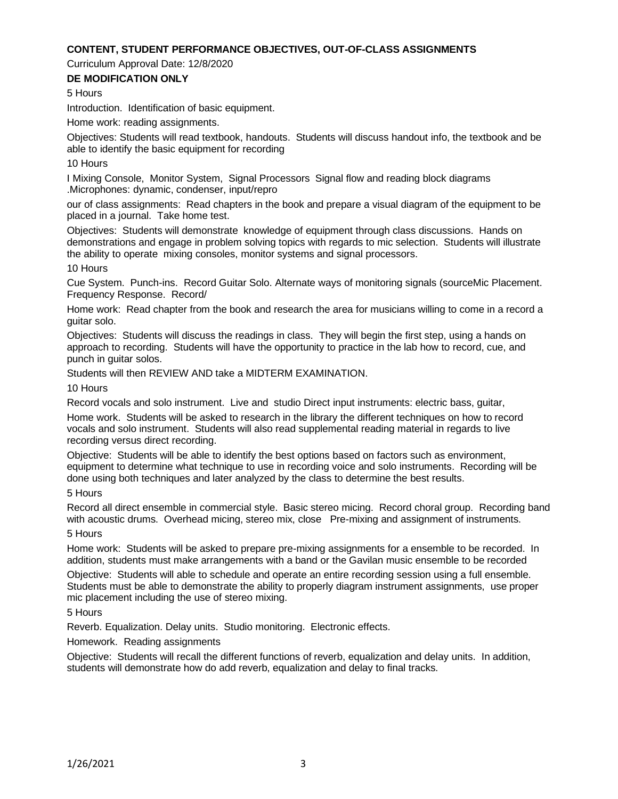## **CONTENT, STUDENT PERFORMANCE OBJECTIVES, OUT-OF-CLASS ASSIGNMENTS**

Curriculum Approval Date: 12/8/2020

### **DE MODIFICATION ONLY**

5 Hours

Introduction. Identification of basic equipment.

Home work: reading assignments.

Objectives: Students will read textbook, handouts. Students will discuss handout info, the textbook and be able to identify the basic equipment for recording

10 Hours

I Mixing Console, Monitor System, Signal Processors Signal flow and reading block diagrams .Microphones: dynamic, condenser, input/repro

our of class assignments: Read chapters in the book and prepare a visual diagram of the equipment to be placed in a journal. Take home test.

Objectives: Students will demonstrate knowledge of equipment through class discussions. Hands on demonstrations and engage in problem solving topics with regards to mic selection. Students will illustrate the ability to operate mixing consoles, monitor systems and signal processors.

10 Hours

Cue System. Punch-ins. Record Guitar Solo. Alternate ways of monitoring signals (sourceMic Placement. Frequency Response. Record/

Home work: Read chapter from the book and research the area for musicians willing to come in a record a guitar solo.

Objectives: Students will discuss the readings in class. They will begin the first step, using a hands on approach to recording. Students will have the opportunity to practice in the lab how to record, cue, and punch in guitar solos.

Students will then REVIEW AND take a MIDTERM EXAMINATION.

10 Hours

Record vocals and solo instrument. Live and studio Direct input instruments: electric bass, guitar,

Home work. Students will be asked to research in the library the different techniques on how to record vocals and solo instrument. Students will also read supplemental reading material in regards to live recording versus direct recording.

Objective: Students will be able to identify the best options based on factors such as environment, equipment to determine what technique to use in recording voice and solo instruments. Recording will be done using both techniques and later analyzed by the class to determine the best results.

5 Hours

Record all direct ensemble in commercial style. Basic stereo micing. Record choral group. Recording band with acoustic drums. Overhead micing, stereo mix, close Pre-mixing and assignment of instruments. 5 Hours

Home work: Students will be asked to prepare pre-mixing assignments for a ensemble to be recorded. In addition, students must make arrangements with a band or the Gavilan music ensemble to be recorded

Objective: Students will able to schedule and operate an entire recording session using a full ensemble. Students must be able to demonstrate the ability to properly diagram instrument assignments, use proper mic placement including the use of stereo mixing.

5 Hours

Reverb. Equalization. Delay units. Studio monitoring. Electronic effects.

Homework. Reading assignments

Objective: Students will recall the different functions of reverb, equalization and delay units. In addition, students will demonstrate how do add reverb, equalization and delay to final tracks.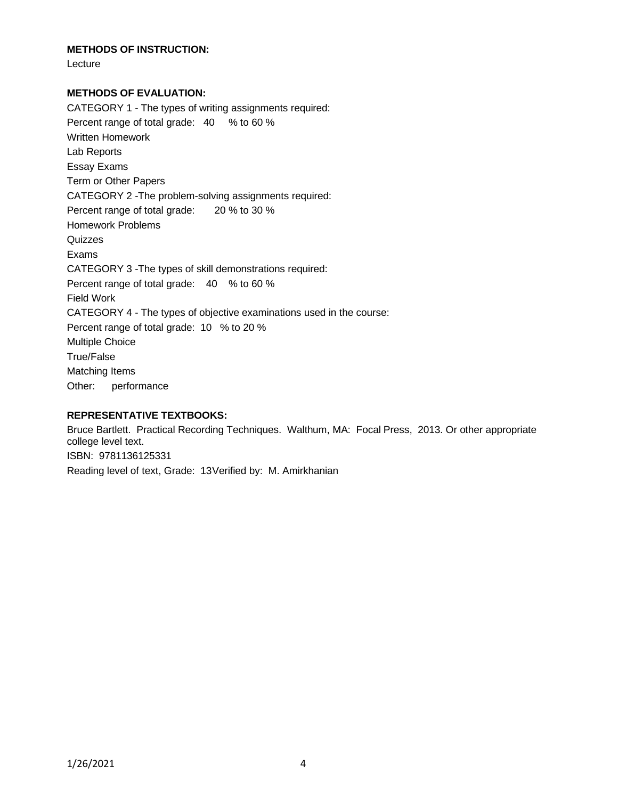## **METHODS OF INSTRUCTION:**

Lecture

## **METHODS OF EVALUATION:**

CATEGORY 1 - The types of writing assignments required: Percent range of total grade: 40 % to 60 % Written Homework Lab Reports Essay Exams Term or Other Papers CATEGORY 2 -The problem-solving assignments required: Percent range of total grade: 20 % to 30 % Homework Problems Quizzes Exams CATEGORY 3 -The types of skill demonstrations required: Percent range of total grade: 40 % to 60 % Field Work CATEGORY 4 - The types of objective examinations used in the course: Percent range of total grade: 10 % to 20 % Multiple Choice True/False Matching Items Other: performance

## **REPRESENTATIVE TEXTBOOKS:**

Bruce Bartlett. Practical Recording Techniques. Walthum, MA: Focal Press, 2013. Or other appropriate college level text. ISBN: 9781136125331 Reading level of text, Grade: 13Verified by: M. Amirkhanian